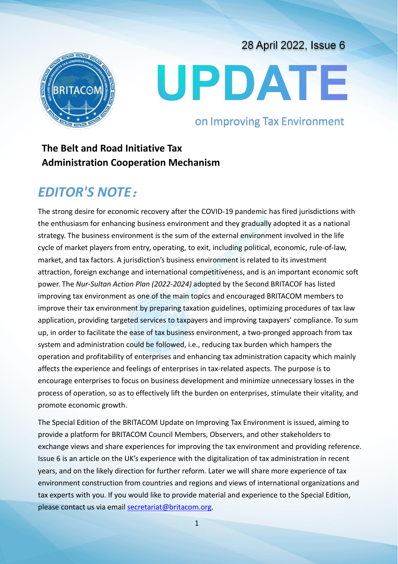28 April 2022, Issue 6



# UPDATE

on Improving Tax Environment

## **The Belt and Road Initiative Tax Administration Cooperation Mechanism**

# *EDITOR'S NOTE*:

The strong desire for economic recovery after the COVID-19 pandemic has fired jurisdictions with the enthusiasm for enhancing business environment and they gradually adopted it as a national strategy. The business environment is the sum of the external environment involved in the life cycle of market players from entry, operating, to exit, including political, economic, rule-of-law, market, and tax factors. A jurisdiction's business environment is related to its investment attraction, foreign exchange and international competitiveness, and is an important economic soft power. The *Nur-Sultan Action Plan (2022-2024)* adopted by the Second BRITACOF has listed improving tax environment as one of the main topics and encouraged BRITACOM members to improve their tax environment by preparing taxation guidelines, optimizing procedures of tax law application, providing targeted services to taxpayers and improving taxpayers' compliance. To sum up, in order to facilitate the ease of tax business environment, a two-pronged approach from tax system and administration could be followed, i.e., reducing tax burden which hampers the operation and profitability of enterprises and enhancing tax administration capacity which mainly affects the experience and feelings of enterprises in tax-related aspects. The purpose is to encourage enterprises to focus on business development and minimize unnecessary losses in the process of operation, so as to effectively lift the burden on enterprises, stimulate their vitality, and promote economic growth.

The Special Edition of the BRITACOM Update on Improving Tax Environment is issued, aiming to provide a platform for BRITACOM Council Members, Observers, and other stakeholders to exchange views and share experiences for improving the tax environment and providing reference. Issue 6 is an article on the UK's experience with the digitalization of tax administration in recent years, and on the likely direction for further reform. Later we will share more experience of tax environment construction from countries and regions and views of international organizations and tax experts with you. If you would like to provide material and experience to the Special Edition, please contact us via email secretariat@britacom.org.

1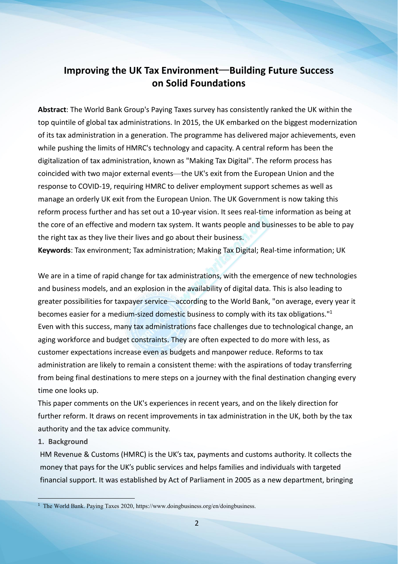### **Improving the UK Tax Environment**—**Building Future Success on Solid Foundations**

**Abstract**: The World Bank Group's Paying Taxes survey has consistently ranked the UK within the top quintile of global tax administrations. In 2015, the UK embarked on the biggest modernization of its tax administration in a generation. The programme has delivered major achievements, even while pushing the limits of HMRC's technology and capacity. A central reform has been the digitalization of tax administration, known as "Making Tax Digital". The reform process has coincided with two major external events—the UK'sexit from the European Union and the response to COVID-19, requiring HMRC to deliver employment support schemes as well as manage an orderly UK exit from the European Union. The UK Government is now taking this reform process further and has set out a 10-year vision. It sees real-time information as being at the core of an effective and modern tax system. It wants people and businesses to be able to pay the right tax as they live their lives and go about their business.

**Keywords**: Tax environment; Tax administration; Making Tax Digital; Real-time information; UK

We are in a time of rapid change for tax administrations, with the emergence of new technologies and business models, and an explosion in the availability of digital data. This is also leading to greater possibilities for taxpayer service—according to the World Bank, "on average, every yearit becomes easier for a medium-sized domestic business to comply with its tax obligations."<sup>1</sup> [1](#page-1-0) Even with this success, many tax administrations face challenges due to technological change, an aging workforce and budget constraints. They are often expected to do more with less, as customer expectations increase even as budgets and manpower reduce. Reforms to tax administration are likely to remain a consistent theme: with the aspirations of today transferring from being final destinations to mere steps on a journey with the final destination changing every time one looks up.

This paper comments on the UK's experiences in recent years, and on the likely direction for further reform. It draws on recent improvements in tax administration in the UK, both by the tax authority and the tax advice community.

#### **1. Background**

HM Revenue & Customs (HMRC) is the UK's tax, payments and customs authority. It collects the money that pays for the UK's public services and helps families and individuals with targeted financial support. It was established by Act of Parliament in 2005 as a new department, bringing

<span id="page-1-0"></span><sup>&</sup>lt;sup>1</sup> The World Bank. Paying Taxes 2020, https://www.doingbusiness.org/en/doingbusiness.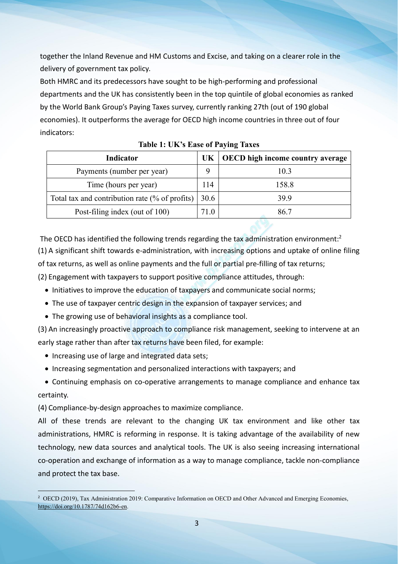together the Inland Revenue and HM Customs and Excise, and taking on a clearer role in the delivery of government tax policy.

Both HMRC and its predecessors have sought to be high-performing and professional departments and the UK has consistently been in the top quintile of global economies as ranked by the World Bank Group's Paying Taxes survey, currently ranking 27th (out of 190 global economies). It outperforms the average for OECD high income countries in three out of four indicators:

| <b>Indicator</b>                               |      | $UK   OECD$ high income country average |
|------------------------------------------------|------|-----------------------------------------|
| Payments (number per year)                     |      | 10.3                                    |
| Time (hours per year)                          | 114  | 158.8                                   |
| Total tax and contribution rate (% of profits) | 30.6 | 39.9                                    |
| Post-filing index (out of 100)                 | 71.0 | 86.7                                    |

| <b>Table 1: UK's Ease of Paying Taxes</b> |  |
|-------------------------------------------|--|
|-------------------------------------------|--|

The OECD has identified the following trends regarding the tax administration environment:<sup>[2](#page-2-0)</sup> (1) A significant shift towards e-administration, with increasing options and uptake ofonline filing of tax returns, as well as online payments and the full or partial pre-filling of tax returns;

(2) Engagement with taxpayers to support positive compliance attitudes, through:

- Initiatives to improve the education of taxpayers and communicate social norms;
- The use of taxpayer centric design in the expansion of taxpayer services; and
- The growing use of behavioral insights as a compliance tool.

(3) An increasingly proactive approach to compliance risk management, seeking to intervene at an early stage rather than after tax returns have been filed, for example:

- Increasing use of large and integrated data sets;
- Increasing segmentation and personalized interactions with taxpayers; and
- Continuing emphasis on co-operative arrangements to manage compliance and enhance tax certainty.

(4) Compliance-by-design approaches to maximize compliance.

All of these trends are relevant to the changing UK tax environment and like other tax administrations, HMRC is reforming in response. It is taking advantage of the availability of new technology, new data sources and analytical tools. The UK is also seeing increasing international co-operation and exchange of information as a way to manage compliance, tackle non-compliance and protect the tax base.

<span id="page-2-0"></span><sup>2</sup> OECD (2019), Tax Administration 2019: Comparative Information on OECD and Other Advanced and Emerging Economies, <https://doi.org/10.1787/74d162b6-en>.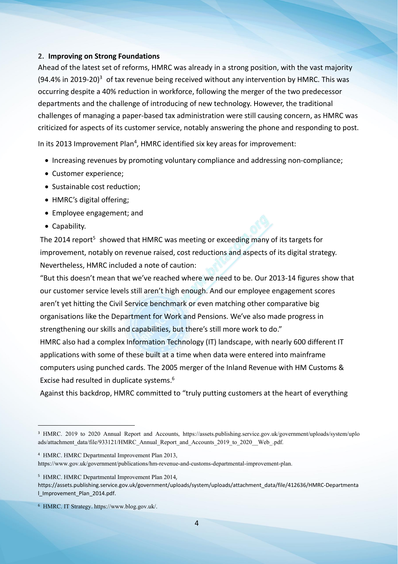#### **2. Improving on Strong Foundations**

Ahead of the latest set of reforms, HMRC was already in a strong position, with the vast majority  $(94.4\%$  in 2019-20)<sup>[3](#page-3-0)</sup> of tax revenue being received without any intervention by HMRC. This was occurring despite a 40% reduction in workforce, following the merger of the two predecessor departments and the challenge of introducing of new technology. However, the traditional challenges of managing a paper-based tax administration were still causing concern, as HMRC was criticized for aspects of its customer service, notably answering the phone and responding to post.

In its 2013 Improvement Plan<sup>[4](#page-3-1)</sup>, HMRC identified six key areas for improvement:

- Increasing revenues by promoting voluntary compliance and addressing non-compliance;
- Customer experience;
- Sustainable cost reduction:
- HMRC's digital offering;
- Employee engagement; and
- Capability.

The 2014 report<sup>[5](#page-3-2)</sup> showed that HMRC was meeting or exceeding many of its targets for improvement, notably on revenue raised, cost reductions and aspects of its digital strategy. Nevertheless, HMRC included a note of caution:

"But this doesn't mean that we've reached where we need to be. Our 2013-14 figures show that our customer service levels still aren't high enough. And our employee engagement scores aren't yet hitting the Civil Service benchmark or even matching other comparative big organisations like the Department for Work and Pensions. We've also made progress in strengthening our skills and capabilities, but there's still more work to do." HMRC also had a complex Information Technology (IT) landscape, with nearly 600 different IT

applications with some of these built at a time when data were entered into mainframe computers using punched cards. The 2005 merger of the Inland Revenue with HM Customs & Excise had resulted in duplicate systems.<sup>[6](#page-3-3)</sup>

Against this backdrop, HMRC committed to "truly putting customers at the heart of everything

https://www.gov.uk/government/publications/hm-revenue-and-customs-departmental-improvement-plan.

<span id="page-3-2"></span><sup>5</sup> HMRC. HMRC Departmental Improvement Plan 2014,

<span id="page-3-0"></span><sup>3</sup> HMRC. 2019 to 2020 Annual Report and Accounts, https://assets.publishing.service.gov.uk/government/uploads/system/uplo ads/attachment\_data/file/933121/HMRC\_Annual\_Report\_and\_Accounts\_2019\_to\_2020\_\_Web\_.pdf.

<span id="page-3-1"></span><sup>4</sup> HMRC. HMRC Departmental Improvement Plan 2013,

https://assets.publishing.service.gov.uk/government/uploads/system/uploads/attachment\_data/file/412636/HMRC-Departmenta l\_Improvement\_Plan\_2014.pdf.

<span id="page-3-3"></span><sup>6</sup> HMRC. IT Strategy. https://www.blog.gov.uk/.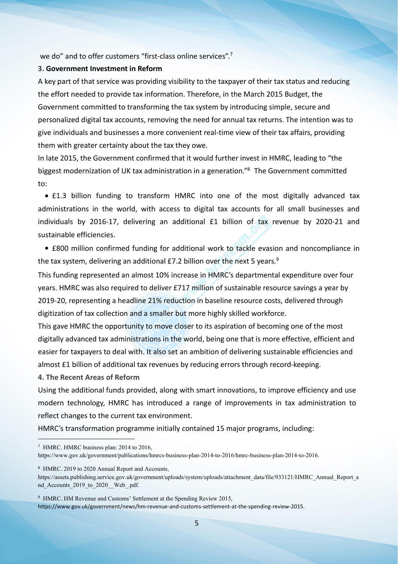we do" and to offer customers "first-class online services".<sup>[7](#page-4-0)</sup>

#### **3. Government Investment in Reform**

A key part of that service was providing visibility to the taxpayer of their tax status and reducing the effort needed to provide tax information. Therefore, in the March 2015 Budget, the Government committed to transforming the tax system by introducing simple, secure and personalized digital tax accounts, removing the need for annual tax returns.The intention was to give individuals and businesses a more convenient real-time view of their tax affairs, providing them with greater certainty about the tax they owe.

In late 2015, the Government confirmed that it would further invest in HMRC, leading to "the biggest modernization of UK tax administration in a generation." [8](#page-4-1) The Government committed to:

 £1.3 billion funding to transform HMRC into one of the most digitally advanced tax administrations in the world, with access to digital tax accounts for all small businesses and individuals by 2016-17, delivering an additional £1 billion of tax revenue by 2020-21 and sustainable efficiencies.

 £800 million confirmed funding for additional work to tackle evasion and noncompliance in the tax system, delivering an additional  $E$ 7.2 billion over the next 5 years.<sup>[9](#page-4-2)</sup>

This funding represented an almost 10% increase in HMRC's departmental expenditure over four years. HMRC was also required to deliver £717 million of sustainable resource savings a year by 2019-20, representing a headline 21% reduction in baseline resource costs, delivered through digitization of tax collection and a smaller but more highly skilled workforce.

This gave HMRC the opportunity to move closer to its aspiration of becoming one of the most digitally advanced tax administrations in the world, being one that is more effective, efficient and easier for taxpayers to deal with. It also set an ambition of delivering sustainable efficiencies and almost £1 billion of additional tax revenues by reducing errors through record-keeping.

**4. The Recent Areas of Reform**

Using the additional funds provided, along with smart innovations, to improve efficiency and use modern technology, HMRC has introduced a range of improvements in tax administration to reflect changes to the current tax environment.

HMRC's transformation programme initially contained 15 major programs, including:

<span id="page-4-0"></span><sup>7</sup> HMRC. HMRC business plan: 2014 to 2016, https://www.gov.uk/government/publications/hmrcs-business-plan-2014-to-2016/hmrc-business-plan-2014-to-2016.

<span id="page-4-1"></span><sup>8</sup> HMRC. 2019 to 2020 Annual Report and Accounts,

https://assets.publishing.service.gov.uk/government/uploads/system/uploads/attachment\_data/file/933121/HMRC\_Annual\_Report\_a nd Accounts 2019 to 2020 Web .pdf.

<span id="page-4-2"></span><sup>9</sup> HMRC. HM Revenue and Customs' Settlement at the Spending Review 2015,

https://www.gov.uk/government/news/hm-revenue-and-customs-settlement-at-the-spending-review-2015.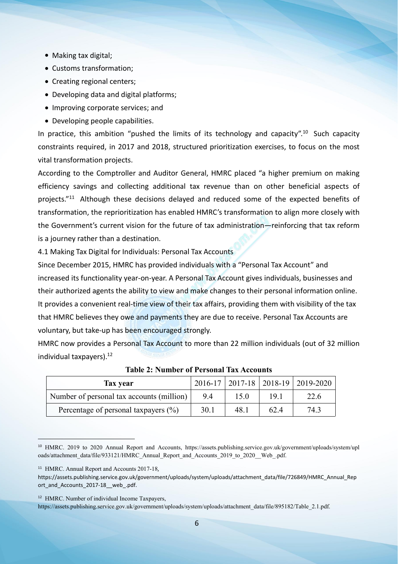- Making tax digital;
- Customs transformation;
- Creating regional centers;
- Developing data and digital platforms;
- Improving corporate services; and
- Developing people capabilities.

In practice, this ambition "pushed the limits of its technology and capacity".<sup>[10](#page-5-0)</sup> Such capacity constraints required, in 2017 and 2018, structured prioritization exercises, to focus on the most vital transformation projects.

According to the Comptroller and Auditor General, HMRC placed "a higher premium on making efficiency savings and collecting additional tax revenue than on other beneficial aspects of projects." [11](#page-5-1) Although these decisions delayed and reduced some of the expected benefits of transformation, the reprioritization has enabled HMRC's transformation to align more closely with the Government's current vision for the future of tax administration—reinforcing that tax reform is a journey rather than a destination.

4.1 Making Tax Digital for Individuals: Personal Tax Accounts

Since December 2015, HMRC has provided individuals with a "Personal Tax Account" and increased its functionality year-on-year. A Personal Tax Account gives individuals, businesses and their authorized agents the ability to view and makechanges to their personal information online. It provides a convenient real-time view of their tax affairs, providing them with visibility of the tax that HMRC believes they owe and payments they are due to receive. Personal Tax Accounts are voluntary, but take-up has been encouraged strongly.

HMRC now provides a Personal Tax Account to more than 22 million individuals (out of 32 million individual taxpayers).<sup>[12](#page-5-2)</sup>

| Tax year                                  |      |      |      | $2016-17$   2017-18   2018-19   2019-2020 |
|-------------------------------------------|------|------|------|-------------------------------------------|
| Number of personal tax accounts (million) | 9.4  |      | 19.1 | 22.6                                      |
| Percentage of personal taxpayers $(\% )$  | 30.1 | 48.1 | 62.4 | 74.3                                      |

**Table 2: Number of Personal Tax Accounts**

https://assets.publishing.service.gov.uk/government/uploads/system/uploads/attachment\_data/file/895182/Table\_2.1.pdf.

<span id="page-5-0"></span><sup>10</sup> HMRC. 2019 to 2020 Annual Report and Accounts, https://assets.publishing.service.gov.uk/government/uploads/system/upl oads/attachment\_data/file/933121/HMRC\_Annual\_Report\_and\_Accounts\_2019\_to\_2020\_\_Web\_.pdf.

<span id="page-5-1"></span><sup>&</sup>lt;sup>11</sup> HMRC. Annual Report and Accounts 2017-18,

https://assets.publishing.service.gov.uk/government/uploads/system/uploads/attachment\_data/file/726849/HMRC\_Annual\_Rep ort and Accounts 2017-18 web .pdf.

<span id="page-5-2"></span><sup>12</sup> HMRC. Number of individual Income Taxpayers,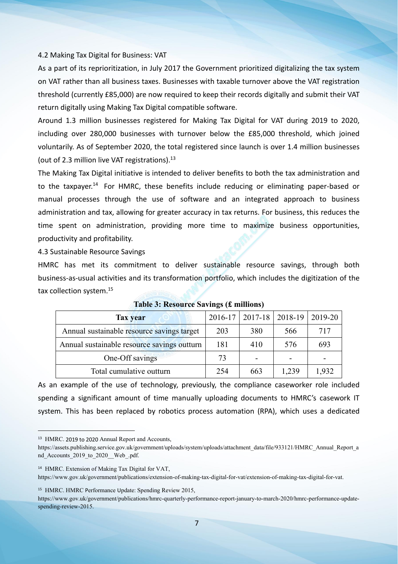#### 4.2 Making Tax Digital for Business: VAT

As a part of its reprioritization, in July 2017 the Government prioritized digitalizing the tax system on VAT rather than all business taxes. Businesses with taxable turnover above the VAT registration threshold (currently £85,000) are now required to keep their records digitally and submit their VAT return digitally using Making Tax Digital compatible software.

Around 1.3 million businesses registered for Making Tax Digital for VAT during 2019 to 2020, including over 280,000 businesses with turnover below the £85,000 threshold, which joined voluntarily. As of September 2020, the total registered since launch is over 1.4 million businesses (out of 2.3 million live VAT registrations). $^{13}$  $^{13}$  $^{13}$ 

The Making Tax Digital initiative is intended to deliver benefits to both the tax administration and to the taxpayer.<sup>[14](#page-6-1)</sup> For HMRC, these benefits include reducing or eliminating paper-based or manual processes through the use of software and an integrated approach to business administration and tax, allowing for greater accuracy in tax returns.For business, this reduces the time spent on administration, providing more time to maximize business opportunities,

productivity and profitability.4.3 Sustainable Resource Savings

HMRC has met its commitment to deliver sustainable resource savings, through both business-as-usual activities and its transformation portfolio, which includes the digitization of the tax collection system.<sup>[15](#page-6-2)</sup>

| <b>Tax year</b>                             | 2016-17 | $2017 - 18$ | $ 2018-19\rangle$ | 2019-20 |
|---------------------------------------------|---------|-------------|-------------------|---------|
| Annual sustainable resource savings target  | 203     | 380         | 566               | 717     |
| Annual sustainable resource savings outturn | 181     | 410         | 576               | 693     |
| One-Off savings                             | 73      | -           | -                 | -       |
| Total cumulative outturn                    | 254     | 663         | 1,239             | 1,932   |

#### **Table 3: Resource Savings (£ millions)**

As an example of the use of technology, previously, the compliance caseworker role included spending a significant amount of time manually uploading documents to HMRC's casework IT system. This has been replaced by robotics process automation (RPA), which uses a dedicated

<span id="page-6-2"></span><sup>15</sup> HMRC. HMRC Performance Update: Spending Review 2015,

https://www.gov.uk/government/publications/hmrc-quarterly-performance-report-january-to-march-2020/hmrc-performance-update spending-review-2015.

<span id="page-6-0"></span><sup>13</sup> HMRC. 2019 to 2020 Annual Report and Accounts,

https://assets.publishing.service.gov.uk/government/uploads/system/uploads/attachment\_data/file/933121/HMRC\_Annual\_Report\_a nd Accounts 2019 to 2020 Web .pdf.

<span id="page-6-1"></span><sup>14</sup> HMRC. Extension of Making Tax Digital for VAT,

https://www.gov.uk/government/publications/extension-of-making-tax-digital-for-vat/extension-of-making-tax-digital-for-vat.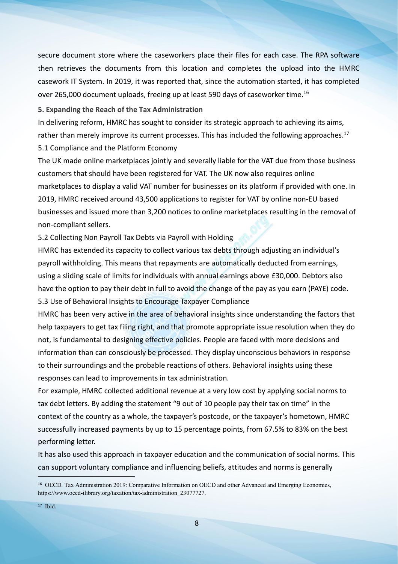secure document store where the caseworkers place their files for each case. The RPA software then retrieves the documents from this location and completes the upload into the HMRC casework IT System. In 2019, it was reported that, since the automation started, it has completed over 265,000 document uploads, freeing up at least 590 days of caseworker time.[16](#page-7-0)

**5. Expanding the Reach of the Tax Administration**

In delivering reform, HMRC has sought to consider its strategic approach to achieving its aims, rather than merely improve its current processes. This has included the following approaches.<sup>[17](#page-7-1)</sup> 5.1 Compliance and the Platform Economy

The UK made online marketplaces jointly and severally liable for the VAT due from those business customers that should have been registered for VAT. The UK now also requires online marketplaces to display a valid VAT number for businesses on its platform if provided with one. In 2019, HMRC received around 43,500 applications to register for VAT by online non-EU based businesses and issued more than 3,200 notices to online marketplaces resulting in the removal of non-compliant sellers.

5.2 Collecting Non Payroll Tax Debts via Payroll with Holding

HMRC has extended its capacity to collect various tax debts through adjusting an individual's payroll withholding. This means that repayments are automatically deducted from earnings, using a sliding scale of limits for individuals with annual earnings above £30,000. Debtors also have the option to pay their debt in full to avoid the change of the pay as you earn (PAYE) code.<br>5.3 Use of Behavioral Insights to Encourage Taxpayer Compliance

HMRC has been very active in the area of behavioral insights since understanding the factors that help taxpayers to get tax filing right, and that promote appropriate issue resolution when they do not, is fundamental to designing effective policies. People are faced with more decisions and information than can consciously be processed. They display unconscious behaviors in response to their surroundings and the probable reactions of others. Behavioral insights using these responses can lead to improvements in tax administration.

For example, HMRC collected additional revenue at a very low cost by applying social norms to tax debt letters. By adding the statement "9 out of 10 people pay their tax on time" in the context of the country as a whole, the taxpayer's postcode, or the taxpayer's hometown, HMRC successfully increased payments by up to 15 percentage points, from 67.5% to 83% on the best performing letter.

It has also used this approach in taxpayer education and the communication of social norms. This can support voluntary compliance and influencing beliefs, attitudes and norms is generally

<span id="page-7-0"></span><sup>16</sup> OECD. Tax Administration 2019: Comparative Information on OECD and other Advanced and Emerging Economies, https://www.oecd-ilibrary.org/taxation/tax-administration\_23077727.

<span id="page-7-1"></span><sup>17</sup> Ibid.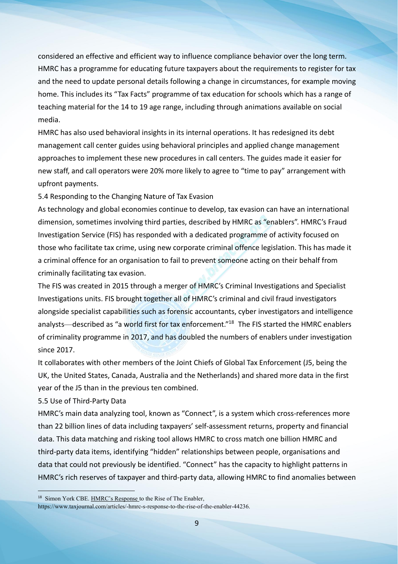considered an effective and efficient way to influence compliance behavior over the long term. HMRC has a programme for educating future taxpayers about the requirements to register for tax and the need to update personal details following a change in circumstances, for example moving home. This includes its "Tax Facts" programme of tax education for schools which has a range of teaching material for the 14 to 19 age range, including through animations available on social media.

HMRC has also used behavioral insights in its internal operations. It has redesigned its debt management call center guides using behavioral principles and applied change management approaches to implement these new procedures in call centers. The guides made it easier for new staff, and call operators were 20% more likely to agree to "time to pay" arrangement with upfront payments.

5.4 Responding to the Changing Nature of Tax Evasion

As technology and global economies continue to develop, tax evasion can have an international dimension, sometimes involving third parties, described by HMRC as "enablers". HMRC's Fraud Investigation Service (FIS) has responded with a dedicated programme of activity focused on those who facilitate tax crime, using new corporate criminal offence legislation. This has made it a criminal offence for an organisation to fail to prevent someone acting on their behalf from criminally facilitating tax evasion.

The FIS was created in 2015 through a merger of HMRC's Criminal Investigations and Specialist Investigations units. FIS brought together all of HMRC's criminal and civil fraud investigators alongside specialist capabilities such as forensic accountants, cyber investigators and intelligence analysts—described as "a world first for tax enforcement."<sup>[18](#page-8-0)</sup> The FIS started the HMRC enablers of criminality programme in 2017, and has doubled the numbers of enablers under investigation since 2017.

It collaborates with other members of the Joint Chiefs of Global Tax Enforcement (J5,being the UK, the United States, Canada, Australia and the Netherlands) and shared more data in the first year of the J5 than in the previous ten combined.

5.5 Use of Third-Party Data

HMRC's main data analyzing tool, known as "Connect", is a system which cross-references more than 22 billion lines of data including taxpayers' self-assessment returns, property and financial data. This data matching and risking tool allows HMRC to cross match one billion HMRC and third-party data items, identifying "hidden" relationships between people, organisations and data that could not previously be identified. "Connect" has the capacity to highlight patterns in HMRC's rich reserves of taxpayer and third-party data, allowing HMRC to find anomalies between

<span id="page-8-0"></span><sup>18</sup> Simon York CBE.HMRC's Response to the Rise of The Enabler,

https://www.taxjournal.com/articles/-hmrc-s-response-to-the-rise-of-the-enabler-44236.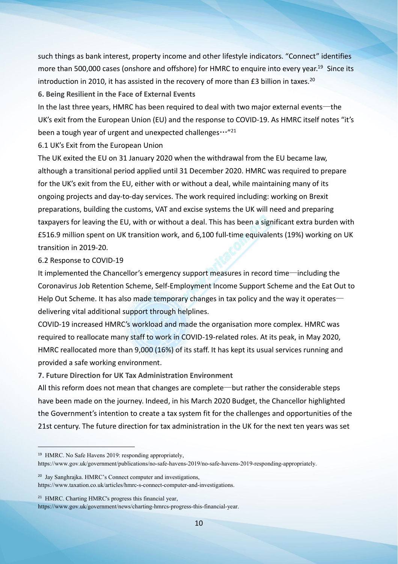such things as bank interest, property income and other lifestyle indicators. "Connect" identifies more than 500,000 cases (onshore and offshore) for HMRC to enquire into every year.<sup>[19](#page-9-0)</sup> Since its introduction in [20](#page-9-1)10, it has assisted in the recovery of more than  $E3$  billion in taxes.<sup>20</sup>

**6. Being Resilient in the Face of External Events**

In the last three years, HMRC has been required to deal with two major external events—the UK's exit from the European Union (EU) and the response to COVID-19. As HMRC itself notes "it's been a tough year of urgent and unexpected challenges  $\cdots$ "[21](#page-9-2)

6.1 UK's Exit from the European Union

The UK exited the EU on 31 January 2020 when the withdrawal from the EUbecame law, although a transitional period applied until 31 December 2020. HMRC was required to prepare for the UK's exit from the EU, either with or without a deal, while maintaining many of its ongoing projects and day-to-day services. The work required including: working on Brexit preparations, building the customs, VAT and excise systems the UK will need and preparing taxpayers for leaving the EU, with or without a deal. This has been a significant extra burden with £516.9 million spent on UK transition work, and 6,100 full-time equivalents (19%) working on UK transition in 2019-20.

#### 6.2 Response to COVID-19

It implemented the Chancellor's emergency support measures in record time—including the Coronavirus Job Retention Scheme, Self-Employment Income Support Scheme and the Eat Out to Help Out Scheme. It has also made temporary changes in tax policy and the way it operates delivering vital additional support through helplines.

COVID-19 increased HMRC's workload and made the organisation more complex. HMRC was required to reallocate many staff to work in COVID-19-related roles. At its peak, in May 2020, HMRC reallocated more than 9,000 (16%) of its staff. It has kept its usual services running and provided a safe working environment.

**7. Future Direction for UK TaxAdministration Environment**

All this reform does not mean that changes are complete—but rather the considerable steps have been made on the journey. Indeed, in his March 2020 Budget, the Chancellor highlighted the Government's intention to create a tax system fit for the challenges and opportunities of the 21st century. The future direction for tax administration in the UK for the next ten years was set

https://www.gov.uk/government/news/charting-hmrcs-progress-this-financial-year.

<span id="page-9-0"></span><sup>19</sup> HMRC. No Safe Havens 2019: responding appropriately, https://www.gov.uk/government/publications/no-safe-havens-2019/no-safe-havens-2019-responding-appropriately.

<span id="page-9-1"></span><sup>20</sup> Jay Sanghrajka. HMRC's Connect computer and investigations, https://www.taxation.co.uk/articles/hmrc-s-connect-computer-and-investigations.

<span id="page-9-2"></span><sup>21</sup> HMRC. Charting HMRC's progress this financial year,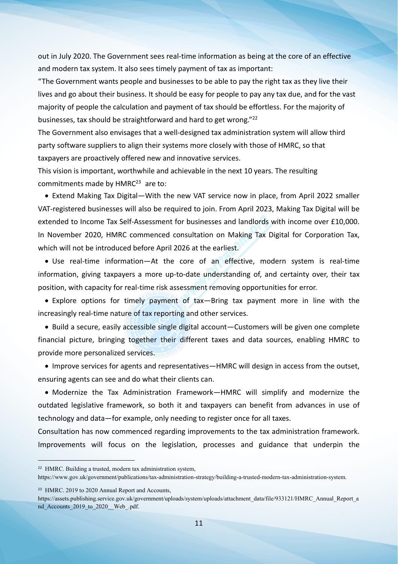out in July 2020. The Government sees real-time information as being at the core of an effective and modern tax system. It also sees timely payment of tax as important:

"The Government wants people and businesses to be able to pay the right tax as they live their lives and go about their business. It should be easy for people to pay any tax due, and for the vast majority of people the calculation and payment of tax should be effortless. For the majority of businesses, tax should be straightforward and hard to get wrong."<sup>[22](#page-10-0)</sup>

The Government also envisages that a well-designed tax administration system will allow third party software suppliers to align their systems more closely with those of HMRC, so that taxpayers are proactively offered new and innovative services.

This vision is important, worthwhile and achievable in the next 10 years. The resulting commitments made by HMRC<sup>[23](#page-10-1)</sup> are to:

• Extend Making Tax Digital—With the new VAT service now in place, from April 2022 smaller VAT-registered businesses will also be required to join. From April 2023, Making Tax Digital will be extended to Income Tax Self-Assessment for businesses and landlords with income over £10,000. In November 2020, HMRC commenced consultation on Making Tax Digital for Corporation Tax, which will not be introduced before April 2026 at the earliest.

 Use real-time information—At the core of an effective, modern system is real-time information, giving taxpayers a more up-to-date understanding of, and certainty over, their tax position, with capacity for real-time risk assessment removing opportunities for error.

 Explore options for timely payment of tax—Bring tax payment more in line with the increasingly real-time nature of tax reporting and other services.

 Build a secure, easily accessible single digital account—Customers will be given one complete financial picture, bringing together their different taxes and data sources, enabling HMRC to provide more personalized services.

 Improve services for agents and representatives—HMRC will design in access from the outset, ensuring agents can see and do what their clients can.

• Modernize the Tax Administration Framework—HMRC will simplify and modernize the outdated legislative framework, so both it and taxpayers can benefit from advances in use of technology and data—for example, only needing to register once for all taxes.

Consultation has now commenced regarding improvements to the tax administration framework. Improvements will focus on the legislation, processes and guidance that underpin the

<span id="page-10-1"></span><sup>23</sup> HMRC. 2019 to 2020 Annual Report and Accounts,

https://assets.publishing.service.gov.uk/government/uploads/system/uploads/attachment\_data/file/933121/HMRC\_Annual\_Report\_a nd Accounts 2019 to 2020 Web .pdf.

<span id="page-10-0"></span><sup>22</sup> HMRC. Building a trusted, modern tax administration system,

https://www.gov.uk/government/publications/tax-administration-strategy/building-a-trusted-modern-tax-administration-system.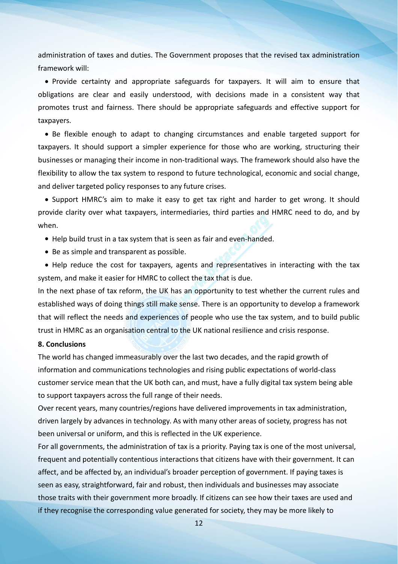administration of taxes and duties. The Government proposes that the revised tax administration framework will:

• Provide certainty and appropriate safeguards for taxpayers. It will aim to ensure that obligations are clear and easily understood, with decisions made in a consistent way that promotes trust and fairness. There should be appropriate safeguards and effective support for taxpayers.

• Be flexible enough to adapt to changing circumstances and enable targeted support for taxpayers. It should support a simpler experience for those who are working, structuring their businesses or managing their income in non-traditional ways. The framework should also have the flexibility to allow the tax system to respond to future technological, economic and social change, and deliver targeted policy responses to any future crises.

• Support HMRC's aim to make it easy to get tax right and harder to get wrong. It should provide clarity over what taxpayers, intermediaries, third parties and HMRC need to do, and by when.

- Help build trust in a tax system that is seen as fair and even-handed.
- Be as simple and transparent as possible.
- Help reduce the cost for taxpayers, agents and representatives in interacting with the tax system, and make it easier for HMRC to collect the tax that is due.

In the next phase of tax reform, the UK has an opportunity to test whether the current rules and established ways of doing things still make sense. There is an opportunity to develop a framework that will reflect the needs and experiences of people who use the tax system, and to build public trust in HMRC as an organisation central to the UK national resilience and crisis response.

#### **8. Conclusions**

The world has changed immeasurably overthe last two decades, and the rapid growth of information and communications technologies and rising public expectations of world-class customer service mean that the UK both can, and must, have a fully digital tax system being able to support taxpayers across the full range of their needs.

Over recent years, many countries/regions have delivered improvements in tax administration, driven largely by advances in technology. As with many other areas of society, progress has not been universal or uniform, and this is reflected in the UK experience.

For all governments, the administration of tax is a priority. Paying tax is one of the most universal, frequent and potentially contentious interactions that citizens have with their government. It can affect, and be affected by, an individual's broader perception of government. If paying taxes is seen as easy, straightforward, fair and robust, then individuals and businesses may associate those traits with their government more broadly. If citizens can see how their taxes are used and if they recognise the corresponding value generated for society, they may be more likely to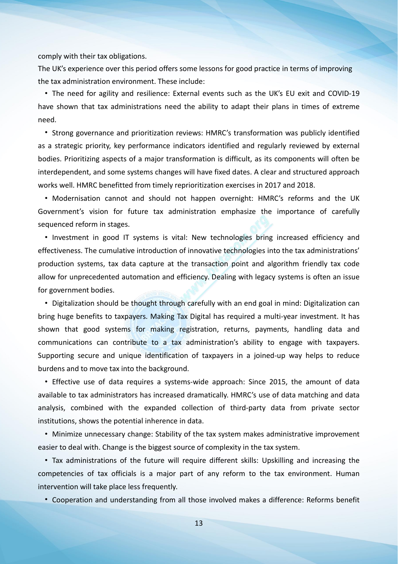comply with their tax obligations.

The UK's experience over this period offers some lessons for good practice in terms of improving the tax administration environment. These include:

• The need for agility and resilience: External events such as the UK's EU exit and COVID-19 have shown that tax administrations need the ability to adapt their plans in times of extreme need.

• Strong governance and prioritization reviews: HMRC's transformation was publicly identified as a strategic priority, key performance indicators identified and regularly reviewed byexternal bodies. Prioritizing aspects of a major transformation is difficult, as its components will often be interdependent, and some systems changes will have fixed dates. A clear and structured approach works well. HMRC benefitted from timely reprioritization exercises in 2017 and 2018.

• Modernisation cannot and should not happen overnight: HMRC's reforms and the UK Government's vision for future tax administration emphasize the importance of carefully sequenced reform in stages.

• Investment in good IT systems is vital: New technologies bring increased efficiency and effectiveness. The cumulative introduction of innovative technologies into the tax administrations' production systems, tax data capture at the transaction point and algorithm friendly tax code allow for unprecedented automation and efficiency. Dealing with legacy systems is often an issue for government bodies.

• Digitalization should be thought through carefully with an end goal in mind: Digitalization can bring huge benefits to taxpayers. Making Tax Digital has required a multi-year investment. It has shown that good systems for making registration, returns, payments, handling data and communications can contribute to a tax administration's ability to engage with taxpayers. Supporting secure and unique identification of taxpayers in a joined-up way helps to reduce burdens and to move tax into the background.

• Effective use of data requires a systems-wide approach: Since 2015, the amount of data available to tax administrators has increased dramatically. HMRC's use of data matching and data analysis, combined with the expanded collection of third-party data from private sector institutions, shows the potential inherence in data.

• Minimize unnecessary change: Stability of the tax system makes administrative improvement easier to deal with. Change is the biggest source of complexity in the tax system.

• Tax administrations of the future will require different skills: Upskilling and increasing the competencies of tax officials is a major part of any reform to the tax environment. Human intervention will take place less frequently.

• Cooperation and understanding from all those involved makes a difference: Reforms benefit

13